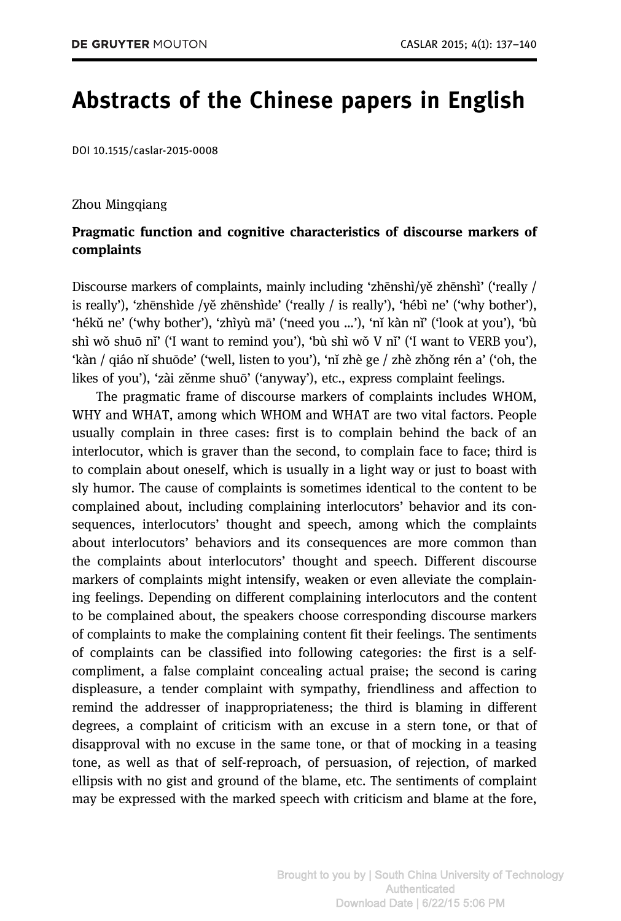# Abstracts of the Chinese papers in English

DOI 10.1515/caslar-2015-0008

#### Zhou Mingqiang

## Pragmatic function and cognitive characteristics of discourse markers of complaints

Discourse markers of complaints, mainly including 'zhēnshì/yě zhēnshì' ('really / is really'), 'zhēnshìde /yě zhēnshìde' ('really / is really'), 'hébì ne' ('why bother'), 'hékǔ ne' ('why bother'), 'zhìyù mā' ('need you …'), 'nǐ kàn nǐ' ('look at you'), 'bù shì wǒ shuō nǐ' ('I want to remind you'), 'bù shì wǒ V nǐ' ('I want to VERB you'), 'kàn / qiáo nǐ shuōde' ('well, listen to you'), 'nǐ zhè ge / zhè zhǒng rén a' ('oh, the likes of you'), 'zài zěnme shuō' ('anyway'), etc., express complaint feelings.

The pragmatic frame of discourse markers of complaints includes WHOM, WHY and WHAT, among which WHOM and WHAT are two vital factors. People usually complain in three cases: first is to complain behind the back of an interlocutor, which is graver than the second, to complain face to face; third is to complain about oneself, which is usually in a light way or just to boast with sly humor. The cause of complaints is sometimes identical to the content to be complained about, including complaining interlocutors' behavior and its consequences, interlocutors' thought and speech, among which the complaints about interlocutors' behaviors and its consequences are more common than the complaints about interlocutors' thought and speech. Different discourse markers of complaints might intensify, weaken or even alleviate the complaining feelings. Depending on different complaining interlocutors and the content to be complained about, the speakers choose corresponding discourse markers of complaints to make the complaining content fit their feelings. The sentiments of complaints can be classified into following categories: the first is a selfcompliment, a false complaint concealing actual praise; the second is caring displeasure, a tender complaint with sympathy, friendliness and affection to remind the addresser of inappropriateness; the third is blaming in different degrees, a complaint of criticism with an excuse in a stern tone, or that of disapproval with no excuse in the same tone, or that of mocking in a teasing tone, as well as that of self-reproach, of persuasion, of rejection, of marked ellipsis with no gist and ground of the blame, etc. The sentiments of complaint may be expressed with the marked speech with criticism and blame at the fore,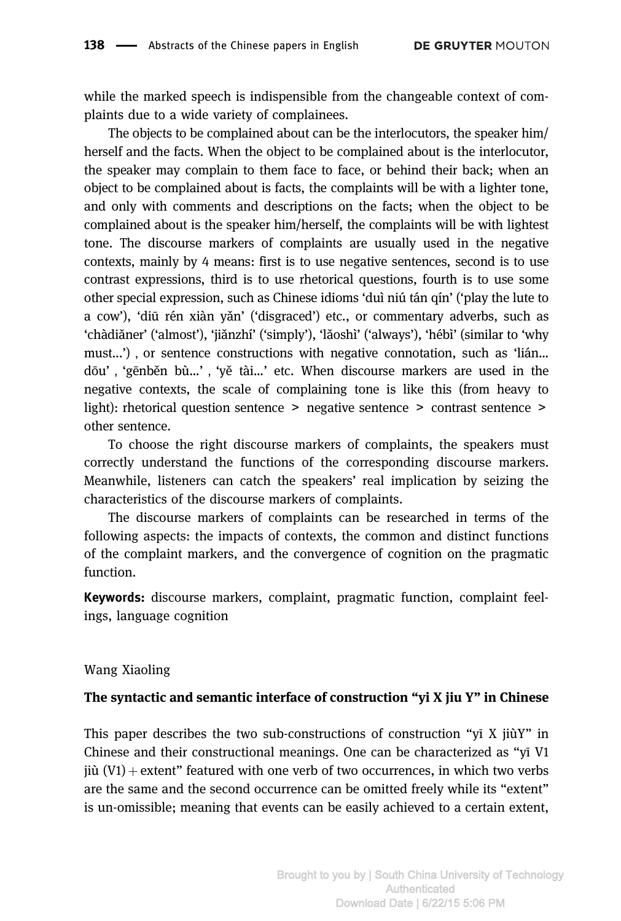while the marked speech is indispensible from the changeable context of complaints due to a wide variety of complainees.

The objects to be complained about can be the interlocutors, the speaker him/ herself and the facts. When the object to be complained about is the interlocutor, the speaker may complain to them face to face, or behind their back; when an object to be complained about is facts, the complaints will be with a lighter tone, and only with comments and descriptions on the facts; when the object to be complained about is the speaker him/herself, the complaints will be with lightest tone. The discourse markers of complaints are usually used in the negative contexts, mainly by 4 means: first is to use negative sentences, second is to use contrast expressions, third is to use rhetorical questions, fourth is to use some other special expression, such as Chinese idioms 'duì niú tán qín' ('play the lute to a cow'), 'diū rén xiàn yǎn' ('disgraced') etc., or commentary adverbs, such as 'chàdiǎner' ('almost'), 'jiǎnzhí' ('simply'), 'lǎoshì' ('always'), 'hébì' (similar to 'why must...'), or sentence constructions with negative connotation, such as 'lián... dōu','gēnběn bù…','yě tài…' etc. When discourse markers are used in the negative contexts, the scale of complaining tone is like this (from heavy to light): rhetorical question sentence > negative sentence > contrast sentence > other sentence.

To choose the right discourse markers of complaints, the speakers must correctly understand the functions of the corresponding discourse markers. Meanwhile, listeners can catch the speakers' real implication by seizing the characteristics of the discourse markers of complaints.

The discourse markers of complaints can be researched in terms of the following aspects: the impacts of contexts, the common and distinct functions of the complaint markers, and the convergence of cognition on the pragmatic function.

Keywords: discourse markers, complaint, pragmatic function, complaint feelings, language cognition

#### Wang Xiaoling

#### The syntactic and semantic interface of construction "yi X jiu Y" in Chinese

This paper describes the two sub-constructions of construction " $\overline{v}i$  X jiùY" in Chinese and their constructional meanings. One can be characterized as "yī V1 jiù  $(V1)$  + extent" featured with one verb of two occurrences, in which two verbs are the same and the second occurrence can be omitted freely while its "extent" is un-omissible; meaning that events can be easily achieved to a certain extent,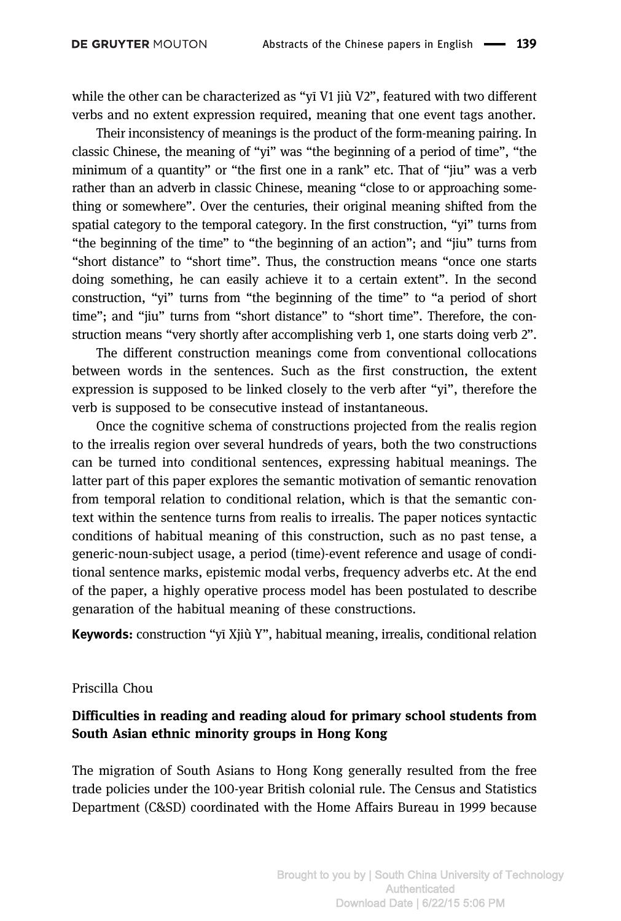while the other can be characterized as "yī V1 jiù V2", featured with two different verbs and no extent expression required, meaning that one event tags another.

Their inconsistency of meanings is the product of the form-meaning pairing. In classic Chinese, the meaning of "yi" was "the beginning of a period of time", "the minimum of a quantity" or "the first one in a rank" etc. That of "jiu" was a verb rather than an adverb in classic Chinese, meaning "close to or approaching something or somewhere". Over the centuries, their original meaning shifted from the spatial category to the temporal category. In the first construction, "yi" turns from "the beginning of the time" to "the beginning of an action"; and "jiu" turns from "short distance" to "short time". Thus, the construction means "once one starts doing something, he can easily achieve it to a certain extent". In the second construction, "yi" turns from "the beginning of the time" to "a period of short time"; and "jiu" turns from "short distance" to "short time". Therefore, the construction means "very shortly after accomplishing verb 1, one starts doing verb 2".

The different construction meanings come from conventional collocations between words in the sentences. Such as the first construction, the extent expression is supposed to be linked closely to the verb after "yi", therefore the verb is supposed to be consecutive instead of instantaneous.

Once the cognitive schema of constructions projected from the realis region to the irrealis region over several hundreds of years, both the two constructions can be turned into conditional sentences, expressing habitual meanings. The latter part of this paper explores the semantic motivation of semantic renovation from temporal relation to conditional relation, which is that the semantic context within the sentence turns from realis to irrealis. The paper notices syntactic conditions of habitual meaning of this construction, such as no past tense, a generic-noun-subject usage, a period (time)-event reference and usage of conditional sentence marks, epistemic modal verbs, frequency adverbs etc. At the end of the paper, a highly operative process model has been postulated to describe genaration of the habitual meaning of these constructions.

Keywords: construction "yī Xjiù Y", habitual meaning, irrealis, conditional relation

### Priscilla Chou

## Difficulties in reading and reading aloud for primary school students from South Asian ethnic minority groups in Hong Kong

The migration of South Asians to Hong Kong generally resulted from the free trade policies under the 100-year British colonial rule. The Census and Statistics Department (C&SD) coordinated with the Home Affairs Bureau in 1999 because